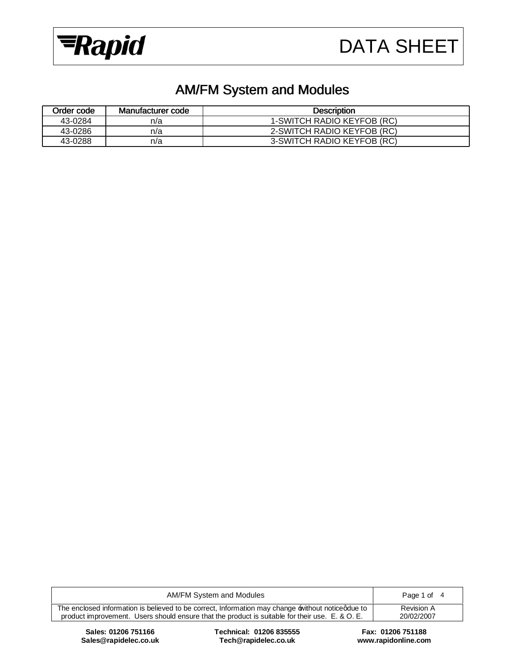



# AM/FM System and Modules

| Order code | Manufacturer code | <b>Description</b>         |
|------------|-------------------|----------------------------|
| 43-0284    | n/a               | 1-SWITCH RADIO KEYFOB (RC) |
| 43-0286    | n/a               | 2-SWITCH RADIO KEYFOB (RC) |
| 43-0288    | n/a               | 3-SWITCH RADIO KEYFOB (RC) |

| AM/FM System and Modules                                                                                                                                                                           | Page 1 of                |
|----------------------------------------------------------------------------------------------------------------------------------------------------------------------------------------------------|--------------------------|
| The enclosed information is believed to be correct, Information may change without noticedue to<br>product improvement. Users should ensure that the product is suitable for their use. E. & O. E. | Revision A<br>20/02/2007 |
|                                                                                                                                                                                                    |                          |

**Sales: 01206 751166 Technical: 01206 835555 Fax: 01206 751188 Sales@rapidelec.co.uk Tech@rapidelec.co.uk www.rapidonline.com**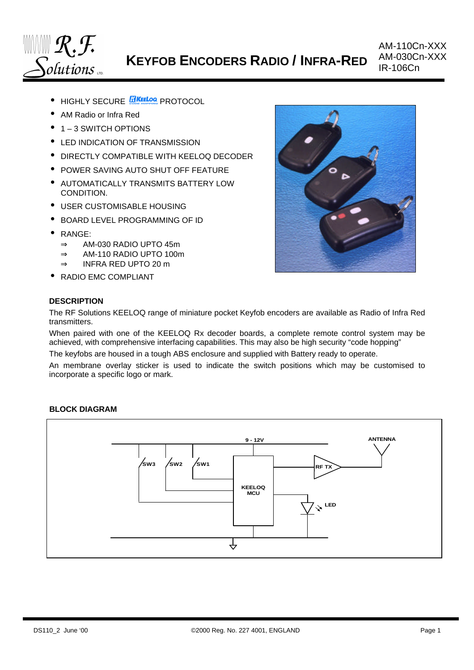

**KEYFOB ENCODERS RADIO / INFRA-RED**

- **HIGHLY SECURE REFLOG PROTOCOL**
- AM Radio or Infra Red
- 1 3 SWITCH OPTIONS
- LED INDICATION OF TRANSMISSION
- DIRECTLY COMPATIBLE WITH KEELOQ DECODER
- POWER SAVING AUTO SHUT OFF FEATURE
- AUTOMATICALLY TRANSMITS BATTERY LOW CONDITION.
- USER CUSTOMISABLE HOUSING
- BOARD LEVEL PROGRAMMING OF ID
- RANGE:
	- ⇒ AM-030 RADIO UPTO 45m
	- ⇒ AM-110 RADIO UPTO 100m
	- ⇒ INFRA RED UPTO 20 m
- RADIO EMC COMPLIANT





The RF Solutions KEELOQ range of miniature pocket Keyfob encoders are available as Radio of Infra Red transmitters.

When paired with one of the KEELOQ Rx decoder boards, a complete remote control system may be achieved, with comprehensive interfacing capabilities. This may also be high security "code hopping"

The keyfobs are housed in a tough ABS enclosure and supplied with Battery ready to operate.

An membrane overlay sticker is used to indicate the switch positions which may be customised to incorporate a specific logo or mark.



#### **BLOCK DIAGRAM**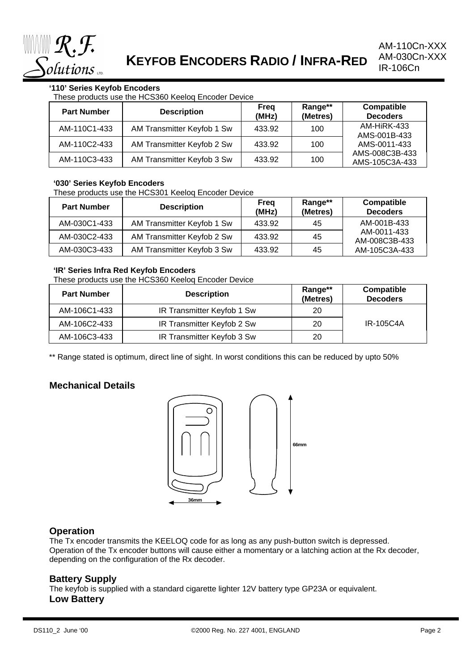

# **'110' Series Keyfob Encoders**

These products use the HCS360 Keeloq Encoder Device

| <b>Part Number</b> | <b>Description</b>         | Frea<br>(MHz) | Range**<br>(Metres) | Compatible<br><b>Decoders</b>    |
|--------------------|----------------------------|---------------|---------------------|----------------------------------|
| AM-110C1-433       | AM Transmitter Keyfob 1 Sw | 433.92        | 100                 | AM-HiRK-433<br>AMS-001B-433      |
| AM-110C2-433       | AM Transmitter Keyfob 2 Sw | 433.92        | 100                 | AMS-0011-433                     |
| AM-110C3-433       | AM Transmitter Keyfob 3 Sw | 433.92        | 100                 | AMS-008C3B-433<br>AMS-105C3A-433 |

#### **'030' Series Keyfob Encoders**

These products use the HCS301 Keeloq Encoder Device

| <b>Part Number</b> | <b>Description</b>         | Frea<br>(MHz) | Range**<br>(Metres) | Compatible<br><b>Decoders</b> |  |
|--------------------|----------------------------|---------------|---------------------|-------------------------------|--|
| AM-030C1-433       | AM Transmitter Keyfob 1 Sw | 433.92        | 45                  | AM-001B-433                   |  |
| AM-030C2-433       | AM Transmitter Keyfob 2 Sw | 433.92        | 45                  | AM-0011-433<br>AM-008C3B-433  |  |
| AM-030C3-433       | AM Transmitter Keyfob 3 Sw | 433.92        | 45                  | AM-105C3A-433                 |  |

#### **'IR' Series Infra Red Keyfob Encoders**

These products use the HCS360 Keeloq Encoder Device

| <b>Part Number</b> | <b>Description</b>         | Range**<br>(Metres) | Compatible<br><b>Decoders</b> |
|--------------------|----------------------------|---------------------|-------------------------------|
| AM-106C1-433       | IR Transmitter Keyfob 1 Sw | 20                  |                               |
| AM-106C2-433       | IR Transmitter Keyfob 2 Sw | 20                  | <b>IR-105C4A</b>              |
| AM-106C3-433       | IR Transmitter Keyfob 3 Sw | 20                  |                               |

\*\* Range stated is optimum, direct line of sight. In worst conditions this can be reduced by upto 50%

# **Mechanical Details**



# **Operation**

The Tx encoder transmits the KEELOQ code for as long as any push-button switch is depressed. Operation of the Tx encoder buttons will cause either a momentary or a latching action at the Rx decoder, depending on the configuration of the Rx decoder.

# **Battery Supply**

The keyfob is supplied with a standard cigarette lighter 12V battery type GP23A or equivalent. **Low Battery**